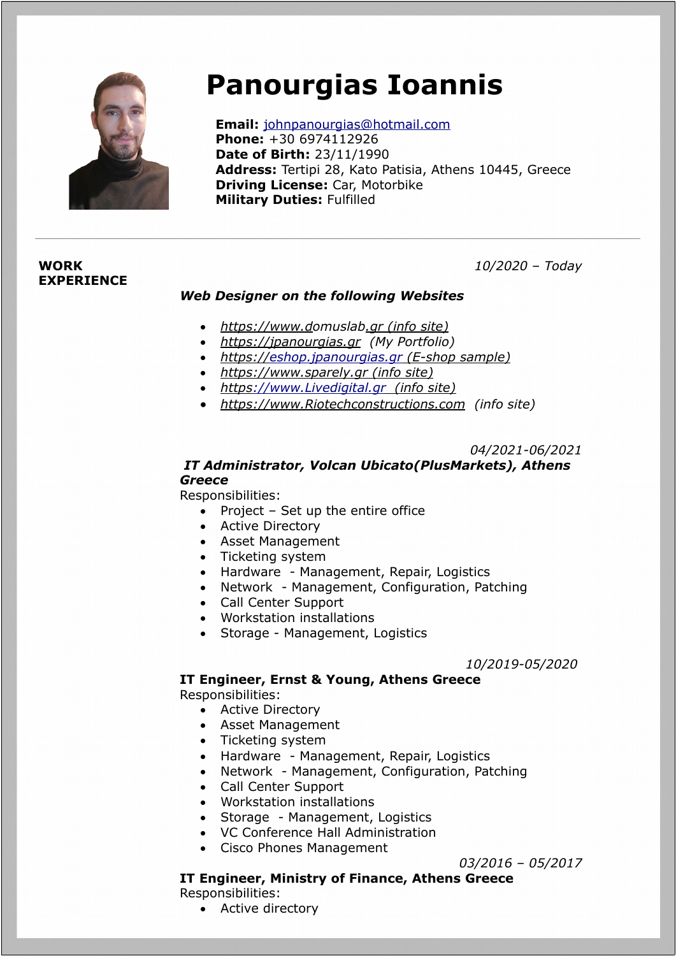

# **Panourgias Ioannis**

 **Email:** [johnpanourgias@hotmail.com](mailto:johnpanourgias@hotmail.com)  **Phone:** +30 6974112926  **Date of Birth:** 23/11/1990  **Address:** Tertipi 28, Kato Patisia, Athens 10445, Greece  **Driving License:** Car, Motorbike  **Military Duties:** Fulfilled

## **WORK EXPERIENCE**

## *10/2020 – Today*

### *Web Designer on the following Websites*

- *[http s](http://www.Livedigital.gr/) [://www. d](http://www.sparely.gr/)omuslab.gr (info site)*
- *[http s :// jpanourgias.gr](https://jpanourgias.gr/) (My Portfolio)*
- *https:/[/ eshop.jpanourgias.gr](http://eshop.jpanourgias.gr/) (E-shop sample)*
- *[http s](http://www.Livedigital.gr/) [://www. s](http://www.sparely.gr/)parely.gr (info site)*
- *[http s ://www.Livedigital.gr](http://www.Livedigital.gr/) (info site)*
- *[http s ://www.Riotechconstructions.com](http://www.Riotechconstructions.com/) (info site)*

*04/2021-06/2021*

## *IT Administrator, Volcan Ubicato(PlusMarkets), Athens Greece*

Responsibilities:

- Project Set up the entire office
- Active Directory
- Asset Management
- Ticketing system
- Hardware Management, Repair, Logistics
- Network Management, Configuration, Patching
- Call Center Support
- Workstation installations
- Storage Management, Logistics

*10/2019-05/2020*

# **IT Engineer, Ernst & Young, Athens Greece**

Responsibilities:

- Active Directory
- Asset Management
- Ticketing system
- Hardware Management, Repair, Logistics
- Network Management, Configuration, Patching
- Call Center Support
- Workstation installations
- Storage Management, Logistics
- VC Conference Hall Administration
- Cisco Phones Management

## *03/2016 – 05/2017*

## **IT Engineer, Ministry of Finance, Athens Greece**

Responsibilities:

• Active directory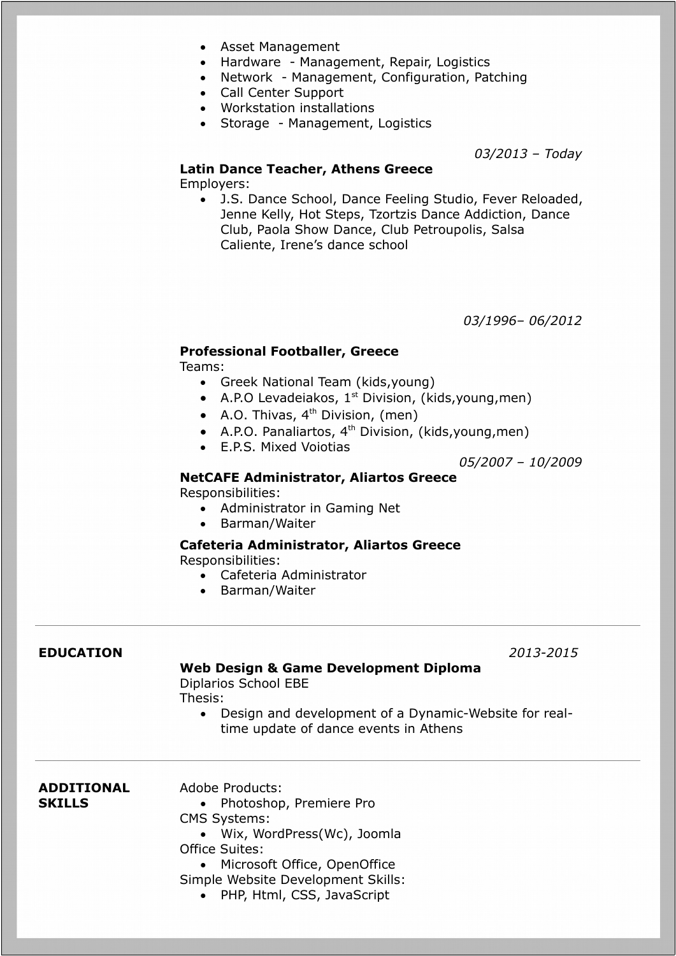- Asset Management
- Hardware Management, Repair, Logistics
- Network Management, Configuration, Patching
- Call Center Support
- Workstation installations
- Storage Management, Logistics

*03/2013 – Today*

#### **Latin Dance Teacher, Athens Greece**

Employers:

 J.S. Dance School, Dance Feeling Studio, Fever Reloaded, Jenne Kelly, Hot Steps, Tzortzis Dance Addiction, Dance Club, Paola Show Dance, Club Petroupolis, Salsa Caliente, Irene's dance school

*03/1996– 06/2012*

### **Professional Footballer, Greece**

Teams:

- Greek National Team (kids,young)
- $\bullet$  A.P.O Levadeiakos, 1<sup>st</sup> Division, (kids, young, men)
- A.O. Thivas, 4<sup>th</sup> Division, (men)
- $\bullet$  A.P.O. Panaliartos, 4<sup>th</sup> Division, (kids, young, men)
- E.P.S. Mixed Voiotias

*05/2007 – 10/2009*

#### **NetCAFE Administrator, Aliartos Greece** Responsibilities:

- Administrator in Gaming Net
- Barman/Waiter

# **Cafeteria Administrator, Aliartos Greece**

Responsibilities:

- Cafeteria Administrator
- Barman/Waiter

### **EDUCATION** *2013-2015*

### **Web Design & Game Development Diploma**

Diplarios School EBE Thesis:

> Design and development of a Dynamic-Website for realtime update of dance events in Athens

**ADDITIONAL SKILLS**

- Adobe Products:
	- Photoshop, Premiere Pro
- CMS Systems:
- Wix, WordPress(Wc), Joomla Office Suites:
	- Microsoft Office, OpenOffice

Simple Website Development Skills:

• PHP, Html, CSS, JavaScript